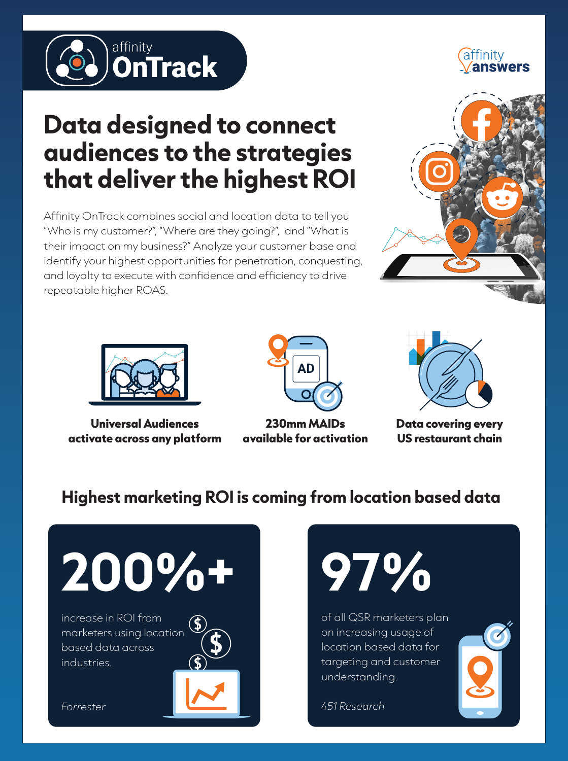

# attınıtv

## **Data designed to connect audiences to the strategies that deliver the highest ROI**

Affinity OnTrack combines social and location data to tell you "Who is my customer?", "Where are they going?", and "What is their impact on my business?" Analyze your customer base and identify your highest opportunities for penetration, conquesting, and loyalty to execute with confidence and efficiency to drive repeatable higher ROAS.





**Universal Audiences activate across any platform**



**230mm MAIDs available for activation**



**Data covering every US restaurant chain**

### **Highest marketing ROI is coming from location based data**





of all QSR marketers plan on increasing usage of location based data for targeting and customer understanding.

*451 Research*

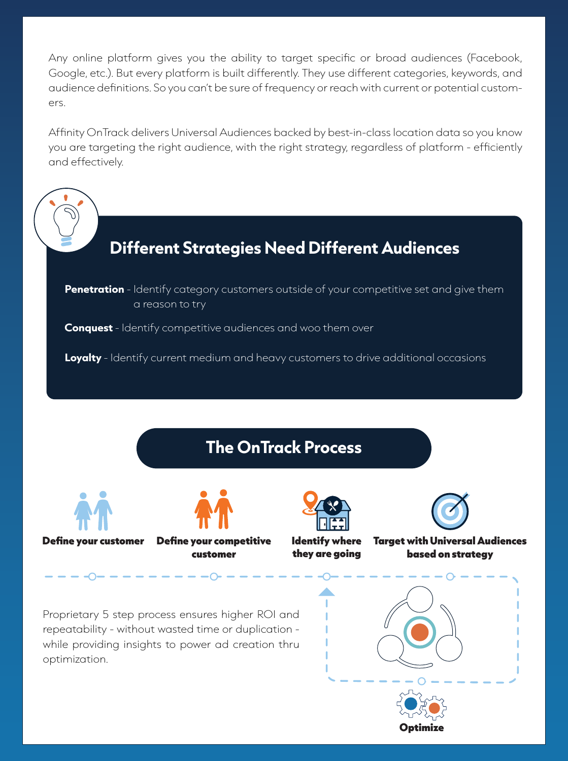Any online platform gives you the ability to target specific or broad audiences (Facebook, Google, etc.). But every platform is built differently. They use different categories, keywords, and audience definitions. So you can't be sure of frequency or reach with current or potential customers.

Affinity OnTrack delivers Universal Audiences backed by best-in-class location data so you know you are targeting the right audience, with the right strategy, regardless of platform - efficiently and effectively.

**Different Strategies Need Different Audiences**

**Penetration** - Identify category customers outside of your competitive set and give them a reason to try

**Conquest** - Identify competitive audiences and woo them over

**Loyalty** - Identify current medium and heavy customers to drive additional occasions



Optimize

while providing insights to power ad creation thru optimization.